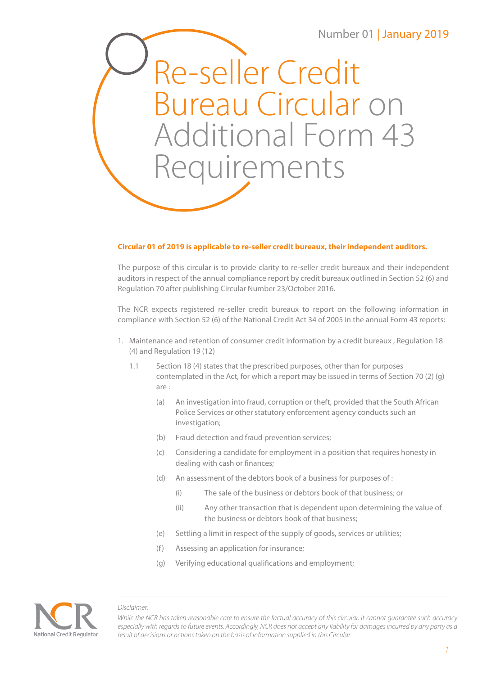## Number 01 | January 2019

Re-seller Credit Bureau Circular on Additional Form 43 Requirements

## **Circular 01 of 2019 is applicable to re-seller credit bureaux, their independent auditors.**

The purpose of this circular is to provide clarity to re-seller credit bureaux and their independent auditors in respect of the annual compliance report by credit bureaux outlined in Section 52 (6) and Regulation 70 after publishing Circular Number 23/October 2016.

The NCR expects registered re-seller credit bureaux to report on the following information in compliance with Section 52 (6) of the National Credit Act 34 of 2005 in the annual Form 43 reports:

- 1. Maintenance and retention of consumer credit information by a credit bureaux , Regulation 18 (4) and Regulation 19 (12)
	- 1.1 Section 18 (4) states that the prescribed purposes, other than for purposes contemplated in the Act, for which a report may be issued in terms of Section 70 (2) (g) are :
		- (a) An investigation into fraud, corruption or theft, provided that the South African Police Services or other statutory enforcement agency conducts such an investigation;
		- (b) Fraud detection and fraud prevention services;
		- (c) Considering a candidate for employment in a position that requires honesty in dealing with cash or finances;
		- (d) An assessment of the debtors book of a business for purposes of :
			- (i) The sale of the business or debtors book of that business; or
			- (ii) Any other transaction that is dependent upon determining the value of the business or debtors book of that business;
		- (e) Settling a limit in respect of the supply of goods, services or utilities;
		- (f) Assessing an application for insurance;
		- (g) Verifying educational qualifications and employment;



*Disclaimer:*

*While the NCR has taken reasonable care to ensure the factual accuracy of this circular, it cannot guarantee such accuracy especially with regards to future events. Accordingly, NCR does not accept any liability for damages incurred by any party as a result of decisions or actions taken on the basis of information supplied in this Circular.*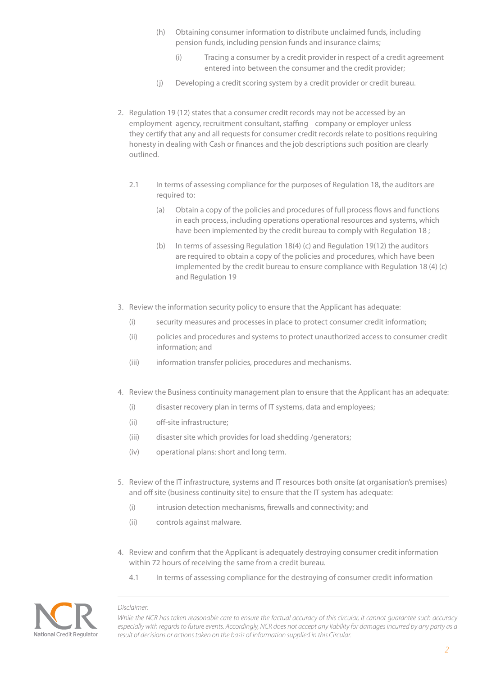- (h) Obtaining consumer information to distribute unclaimed funds, including pension funds, including pension funds and insurance claims;
	- (i) Tracing a consumer by a credit provider in respect of a credit agreement entered into between the consumer and the credit provider;
- (j) Developing a credit scoring system by a credit provider or credit bureau.
- 2. Regulation 19 (12) states that a consumer credit records may not be accessed by an employment agency, recruitment consultant, staffing company or employer unless they certify that any and all requests for consumer credit records relate to positions requiring honesty in dealing with Cash or finances and the job descriptions such position are clearly outlined.
	- 2.1 In terms of assessing compliance for the purposes of Regulation 18, the auditors are required to:
		- (a) Obtain a copy of the policies and procedures of full process flows and functions in each process, including operations operational resources and systems, which have been implemented by the credit bureau to comply with Regulation 18 ;
		- (b) In terms of assessing Regulation 18(4) (c) and Regulation 19(12) the auditors are required to obtain a copy of the policies and procedures, which have been implemented by the credit bureau to ensure compliance with Regulation 18 (4) (c) and Regulation 19
- 3. Review the information security policy to ensure that the Applicant has adequate:
	- (i) security measures and processes in place to protect consumer credit information;
	- (ii) policies and procedures and systems to protect unauthorized access to consumer credit information; and
	- (iii) information transfer policies, procedures and mechanisms.
- 4. Review the Business continuity management plan to ensure that the Applicant has an adequate:
	- (i) disaster recovery plan in terms of IT systems, data and employees;
	- (ii) off-site infrastructure;
	- (iii) disaster site which provides for load shedding /generators;
	- (iv) operational plans: short and long term.
- 5. Review of the IT infrastructure, systems and IT resources both onsite (at organisation's premises) and off site (business continuity site) to ensure that the IT system has adequate:
	- (i) intrusion detection mechanisms, firewalls and connectivity; and
	- (ii) controls against malware.
- 4. Review and confirm that the Applicant is adequately destroying consumer credit information within 72 hours of receiving the same from a credit bureau.
	- 4.1 In terms of assessing compliance for the destroying of consumer credit information

## National Credit Regulator

*Disclaimer:*

*While the NCR has taken reasonable care to ensure the factual accuracy of this circular, it cannot guarantee such accuracy especially with regards to future events. Accordingly, NCR does not accept any liability for damages incurred by any party as a result of decisions or actions taken on the basis of information supplied in this Circular.*